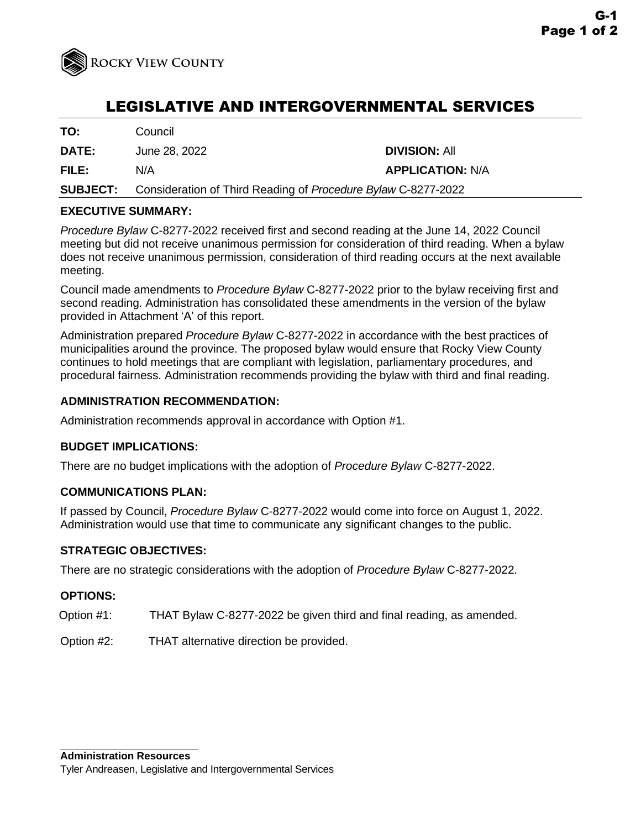

# LEGISLATIVE AND INTERGOVERNMENTAL SERVICES

**TO:** Council

**DATE:** June 28, 2022 **DIVISION:** All

**FILE:** N/A **APPLICATION:** N/A

**SUBJECT:** Consideration of Third Reading of *Procedure Bylaw* C-8277-2022

#### **EXECUTIVE SUMMARY:**

*Procedure Bylaw* C-8277-2022 received first and second reading at the June 14, 2022 Council meeting but did not receive unanimous permission for consideration of third reading. When a bylaw does not receive unanimous permission, consideration of third reading occurs at the next available meeting.

Council made amendments to *Procedure Bylaw* C-8277-2022 prior to the bylaw receiving first and second reading. Administration has consolidated these amendments in the version of the bylaw provided in Attachment 'A' of this report.

Administration prepared *Procedure Bylaw* C-8277-2022 in accordance with the best practices of municipalities around the province. The proposed bylaw would ensure that Rocky View County continues to hold meetings that are compliant with legislation, parliamentary procedures, and procedural fairness. Administration recommends providing the bylaw with third and final reading.

### **ADMINISTRATION RECOMMENDATION:**

Administration recommends approval in accordance with Option #1.

#### **BUDGET IMPLICATIONS:**

There are no budget implications with the adoption of *Procedure Bylaw* C-8277-2022.

#### **COMMUNICATIONS PLAN:**

If passed by Council, *Procedure Bylaw* C-8277-2022 would come into force on August 1, 2022. Administration would use that time to communicate any significant changes to the public.

## **STRATEGIC OBJECTIVES:**

There are no strategic considerations with the adoption of *Procedure Bylaw* C-8277-2022.

#### **OPTIONS:**

Option #1: THAT Bylaw C-8277-2022 be given third and final reading, as amended.

Option #2: THAT alternative direction be provided.

**Administration Resources**

Tyler Andreasen, Legislative and Intergovernmental Services